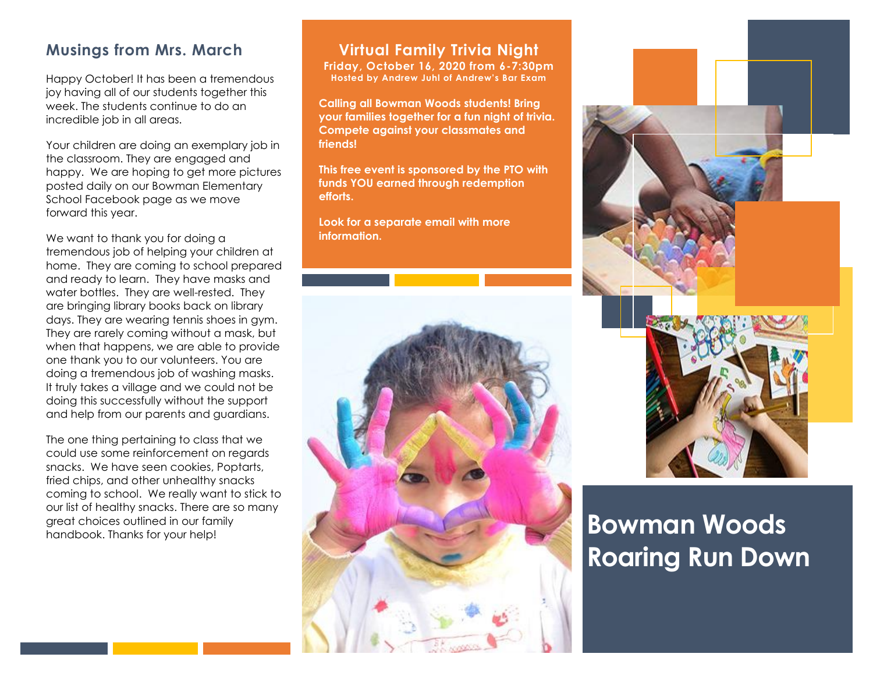#### **Musings from Mrs. March**

Happy October! It has been a tremendous joy having all of our students together this week. The students continue to do an incredible job in all areas.

Your children are doing an exemplary job in the classroom. They are engaged and happy. We are hoping to get more pictures posted daily on our Bowman Elementary School Facebook page as we move forward this year.

We want to thank you for doing a tremendous job of helping your children at home. They are coming to school prepared and ready to learn. They have masks and water bottles. They are well-rested. They are bringing library books back on library days. They are wearing tennis shoes in gym. They are rarely coming without a mask, but when that happens, we are able to provide one thank you to our volunteers. You are doing a tremendous job of washing masks. It truly takes a village and we could not be doing this successfully without the support and help from our parents and guardians.

The one thing pertaining to class that we could use some reinforcement on regards snacks. We have seen cookies, Poptarts, fried chips, and other unhealthy snacks coming to school. We really want to stick to our list of healthy snacks. There are so many great choices outlined in our family handbook. Thanks for your help!

#### **Virtual Family Trivia Night**

**Friday, October 16, 2020 from 6-7:30pm Hosted by Andrew Juhl of Andrew's Bar Exam**

**Calling all Bowman Woods students! Bring your families together for a fun night of trivia. Compete against your classmates and friends!**

**This free event is sponsored by the PTO with funds YOU earned through redemption efforts.** 

**Look for a separate email with more information.**





# **Bowman Woods Roaring Run Down**